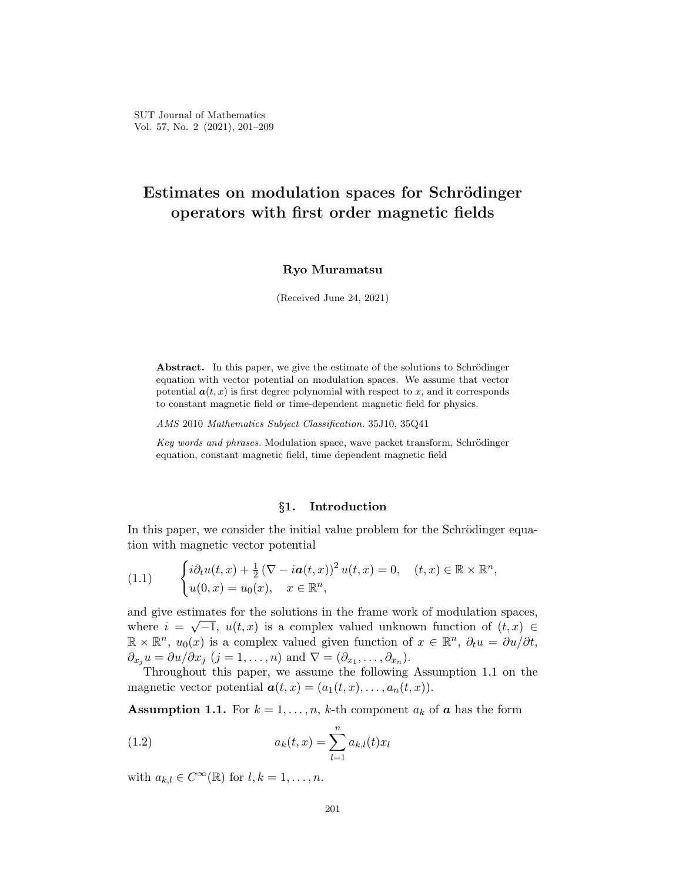# **Estimates on modulation spaces for Schrödinger operators with first order magnetic fields**

## **Ryo Muramatsu**

(Received June 24, 2021)

**Abstract.** In this paper, we give the estimate of the solutions to Schrödinger equation with vector potential on modulation spaces. We assume that vector potential  $a(t, x)$  is first degree polynomial with respect to  $x$ , and it corresponds to constant magnetic field or time-dependent magnetic field for physics.

*AMS* 2010 *Mathematics Subject Classification.* 35J10, 35Q41

*Key words and phrases.* Modulation space, wave packet transform, Schrödinger equation, constant magnetic field, time dependent magnetic field

# *§***1. Introduction**

In this paper, we consider the initial value problem for the Schrödinger equation with magnetic vector potential

(1.1) 
$$
\begin{cases} i\partial_t u(t,x) + \frac{1}{2} (\nabla - i\boldsymbol{a}(t,x))^2 u(t,x) = 0, & (t,x) \in \mathbb{R} \times \mathbb{R}^n, \\ u(0,x) = u_0(x), & x \in \mathbb{R}^n, \end{cases}
$$

and give estimates for the solutions in the frame work of modulation spaces, *√* where  $i = \sqrt{-1}$ ,  $u(t, x)$  is a complex valued unknown function of  $(t, x) \in$  $\mathbb{R} \times \mathbb{R}^n$ ,  $u_0(x)$  is a complex valued given function of  $x \in \mathbb{R}^n$ ,  $\partial_t u = \partial u / \partial t$ ,  $\partial_{x_j} u = \partial u / \partial x_j$  (*j* = 1, . . . , *n*) and  $\nabla = (\partial_{x_1}, \dots, \partial_{x_n})$ .

Throughout this paper, we assume the following Assumption 1.1 on the magnetic vector potential  $\mathbf{a}(t,x) = (a_1(t,x), \ldots, a_n(t,x)).$ 

**Assumption 1.1.** For  $k = 1, \ldots, n$ , *k*-th component  $a_k$  of  $\boldsymbol{a}$  has the form

(1.2) 
$$
a_k(t,x) = \sum_{l=1}^n a_{k,l}(t)x_l
$$

with  $a_{k,l} \in C^{\infty}(\mathbb{R})$  for  $l, k = 1, \ldots, n$ .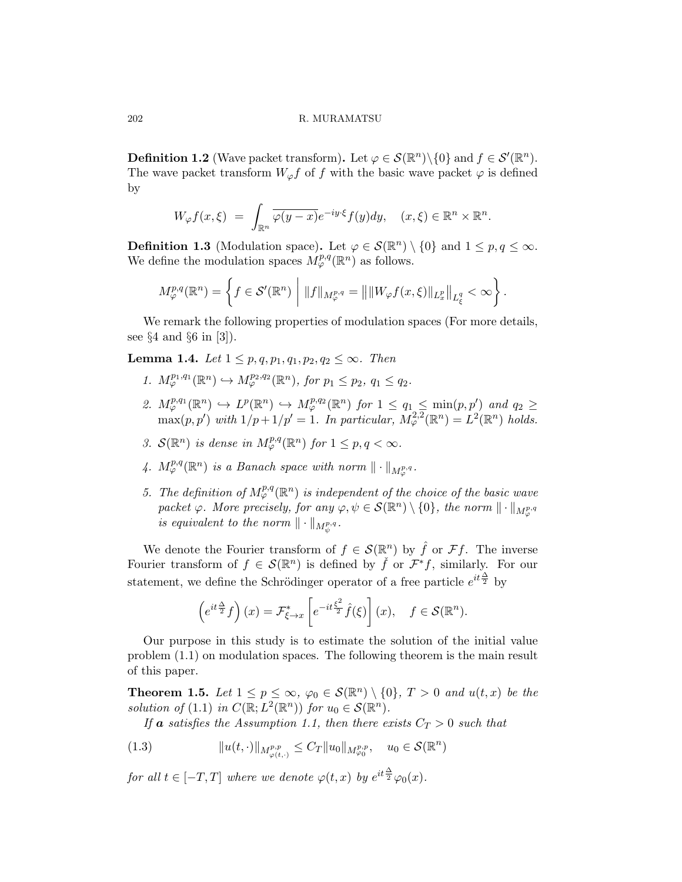202 R. MURAMATSU

**Definition 1.2** (Wave packet transform). Let  $\varphi \in \mathcal{S}(\mathbb{R}^n) \setminus \{0\}$  and  $f \in \mathcal{S}'(\mathbb{R}^n)$ . The wave packet transform  $W_{\varphi}f$  of *f* with the basic wave packet  $\varphi$  is defined by

$$
W_{\varphi}f(x,\xi) = \int_{\mathbb{R}^n} \overline{\varphi(y-x)} e^{-iy\cdot\xi} f(y) dy, \quad (x,\xi) \in \mathbb{R}^n \times \mathbb{R}^n.
$$

**Definition 1.3** (Modulation space). Let  $\varphi \in \mathcal{S}(\mathbb{R}^n) \setminus \{0\}$  and  $1 \leq p, q \leq \infty$ . We define the modulation spaces  $M_{\varphi}^{p,q}(\mathbb{R}^n)$  as follows.

$$
M_{\varphi}^{p,q}(\mathbb{R}^n) = \left\{ f \in \mathcal{S}'(\mathbb{R}^n) \middle| \|f\|_{M_{\varphi}^{p,q}} = \left\| \|W_{\varphi}f(x,\xi)\|_{L_x^p} \right\|_{L_{\xi}^q} < \infty \right\}.
$$

We remark the following properties of modulation spaces (For more details, see *§*4 and *§*6 in [3]).

**Lemma 1.4.** *Let*  $1 ≤ p, q, p_1, q_1, p_2, q_2 ≤ ∞$ *. Then* 

- *1.*  $M_{\varphi}^{p_1,q_1}(\mathbb{R}^n) \hookrightarrow M_{\varphi}^{p_2,q_2}(\mathbb{R}^n)$ *, for*  $p_1 \leq p_2$ *,*  $q_1 \leq q_2$ *.*
- 2.  $M^{p,q_1}_{\varphi}(\mathbb{R}^n) \hookrightarrow L^p(\mathbb{R}^n) \hookrightarrow M^{p,q_2}_{\varphi}(\mathbb{R}^n)$  for  $1 \leq q_1 \leq \min(p,p')$  and  $q_2 \geq$  $\max(p, p')$  with  $1/p + 1/p' = 1$ *. In particular,*  $M_{\varphi}^{2,2}(\mathbb{R}^n) = L^2(\mathbb{R}^n)$  holds.
- *3.*  $\mathcal{S}(\mathbb{R}^n)$  *is dense in*  $M^{p,q}_{\varphi}(\mathbb{R}^n)$  *for*  $1 \leq p, q < \infty$ *.*
- 4.  $M_{\varphi}^{p,q}(\mathbb{R}^n)$  *is a Banach space with norm*  $\|\cdot\|_{M_{\varphi}^{p,q}}$ .
- *5.* The definition of  $M^{p,q}_{\varphi}(\mathbb{R}^n)$  is independent of the choice of the basic wave  $packet \varphi$ *. More precisely, for any*  $\varphi, \psi \in \mathcal{S}(\mathbb{R}^n) \setminus \{0\}$ *, the norm*  $\|\cdot\|_{M^{p,q}_{\varphi}}$  $\iint$ *is equivalent to the norm*  $\|\cdot\|_{M^{p,q}_{\psi}}$ .

We denote the Fourier transform of  $f \in \mathcal{S}(\mathbb{R}^n)$  by  $\hat{f}$  or  $\mathcal{F}f$ . The inverse Fourier transform of  $f \in \mathcal{S}(\mathbb{R}^n)$  is defined by  $\check{f}$  or  $\mathcal{F}^*f$ , similarly. For our statement, we define the Schrödinger operator of a free particle  $e^{it\frac{\Delta}{2}}$  by

$$
\left(e^{it\frac{\Delta}{2}}f\right)(x) = \mathcal{F}_{\xi \to x}^* \left[e^{-it\frac{\xi^2}{2}}\hat{f}(\xi)\right](x), \quad f \in \mathcal{S}(\mathbb{R}^n).
$$

Our purpose in this study is to estimate the solution of the initial value problem (1.1) on modulation spaces. The following theorem is the main result of this paper.

**Theorem 1.5.** Let  $1 \leq p \leq \infty$ ,  $\varphi_0 \in \mathcal{S}(\mathbb{R}^n) \setminus \{0\}$ ,  $T > 0$  and  $u(t, x)$  be the *solution of* (1.1) *in*  $C(\mathbb{R}; L^2(\mathbb{R}^n))$  *for*  $u_0 \in \mathcal{S}(\mathbb{R}^n)$ *.* 

*If* **a** *satisfies the Assumption 1.1, then there exists*  $C_T > 0$  *such that* 

(1.3) 
$$
||u(t, \cdot)||_{M^{p,p}_{\varphi(t, \cdot)}} \leq C_T ||u_0||_{M^{p,p}_{\varphi_0}}, \quad u_0 \in \mathcal{S}(\mathbb{R}^n)
$$

*for all*  $t \in [-T, T]$  *where we denote*  $\varphi(t, x)$  *by*  $e^{it\frac{\Delta}{2}}\varphi_0(x)$ *.*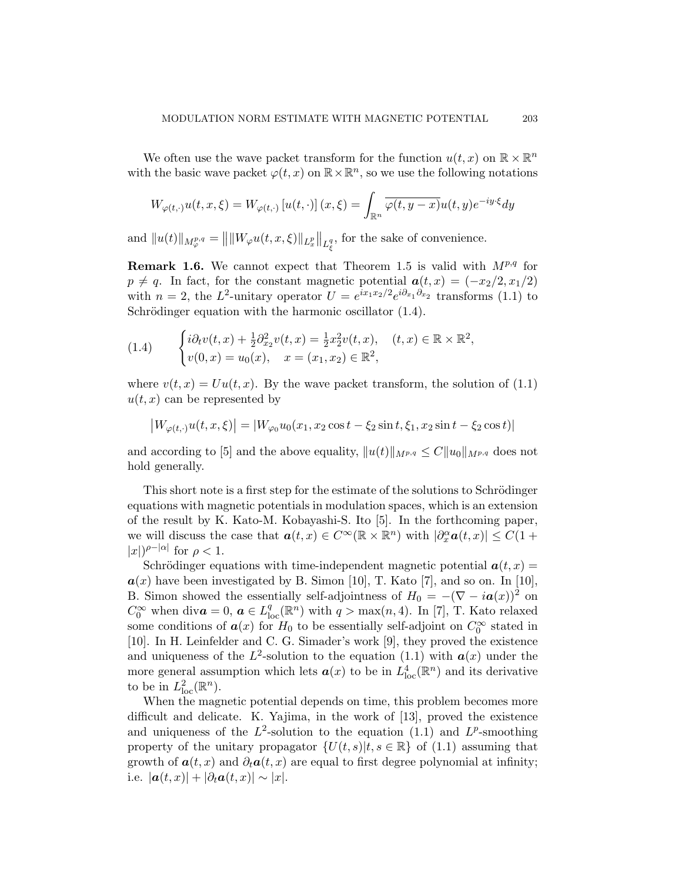We often use the wave packet transform for the function  $u(t, x)$  on  $\mathbb{R} \times \mathbb{R}^n$ with the basic wave packet  $\varphi(t, x)$  on  $\mathbb{R} \times \mathbb{R}^n$ , so we use the following notations

$$
W_{\varphi(t,\cdot)}u(t,x,\xi) = W_{\varphi(t,\cdot)}\left[u(t,\cdot)\right](x,\xi) = \int_{\mathbb{R}^n} \overline{\varphi(t,y-x)}u(t,y)e^{-iy\cdot\xi}dy
$$

and  $||u(t)||_{M^{p,q}_{\varphi}} = ||||W_{\varphi}u(t, x, \xi)||_{L^p_x}||_{L^q_{\xi}}$ , for the sake of convenience.

**Remark 1.6.** We cannot expect that Theorem 1.5 is valid with *Mp,q* for  $p \neq q$ . In fact, for the constant magnetic potential  $a(t, x) = (-x_2/2, x_1/2)$ with  $n = 2$ , the  $L^2$ -unitary operator  $U = e^{ix_1x_2/2}e^{i\partial_{x_1}\partial_{x_2}}$  transforms (1.1) to Schrödinger equation with the harmonic oscillator  $(1.4)$ .

(1.4) 
$$
\begin{cases} i\partial_t v(t,x) + \frac{1}{2}\partial_{x_2}^2 v(t,x) = \frac{1}{2}x_2^2 v(t,x), & (t,x) \in \mathbb{R} \times \mathbb{R}^2, \\ v(0,x) = u_0(x), & x = (x_1, x_2) \in \mathbb{R}^2, \end{cases}
$$

where  $v(t, x) = Uu(t, x)$ . By the wave packet transform, the solution of (1.1)  $u(t, x)$  can be represented by

$$
\big|W_{\varphi(t,\cdot)} u(t,x,\xi)\big| = |W_{\varphi_0} u_0(x_1,x_2 \cos t - \xi_2 \sin t, \xi_1, x_2 \sin t - \xi_2 \cos t)|
$$

and according to [5] and the above equality,  $||u(t)||_{M^{p,q}} \leq C ||u_0||_{M^{p,q}}$  does not hold generally.

This short note is a first step for the estimate of the solutions to Schrödinger equations with magnetic potentials in modulation spaces, which is an extension of the result by K. Kato-M. Kobayashi-S. Ito [5]. In the forthcoming paper, we will discuss the case that  $a(t, x) \in C^{\infty}(\mathbb{R} \times \mathbb{R}^{n})$  with  $|\partial_{x}^{\alpha} a(t, x)| \leq C(1 +$  $|x|$ <sup> $\rho$ *-*| $\alpha$ |</sup> for  $\rho$  < 1.

Schrödinger equations with time-independent magnetic potential  $a(t, x) =$  $a(x)$  have been investigated by B. Simon [10], T. Kato [7], and so on. In [10], B. Simon showed the essentially self-adjointness of  $H_0 = -(\nabla - i a(x))^2$  on  $C_0^{\infty}$  when div $a = 0$ ,  $a \in L_{loc}^q(\mathbb{R}^n)$  with  $q > \max(n, 4)$ . In [7], T. Kato relaxed some conditions of  $a(x)$  for  $H_0$  to be essentially self-adjoint on  $C_0^{\infty}$  stated in [10]. In H. Leinfelder and C. G. Simader's work [9], they proved the existence and uniqueness of the  $L^2$ -solution to the equation (1.1) with  $a(x)$  under the more general assumption which lets  $a(x)$  to be in  $L^4_{loc}(\mathbb{R}^n)$  and its derivative to be in  $L^2_{\text{loc}}(\mathbb{R}^n)$ .

When the magnetic potential depends on time, this problem becomes more difficult and delicate. K. Yajima, in the work of [13], proved the existence and uniqueness of the  $L^2$ -solution to the equation (1.1) and  $L^p$ -smoothing property of the unitary propagator  $\{U(t, s)|t, s \in \mathbb{R}\}\$  of (1.1) assuming that growth of  $a(t, x)$  and  $\partial_t a(t, x)$  are equal to first degree polynomial at infinity; i.e.  $|\boldsymbol{a}(t,x)| + |\partial_t \boldsymbol{a}(t,x)| \sim |x|$ .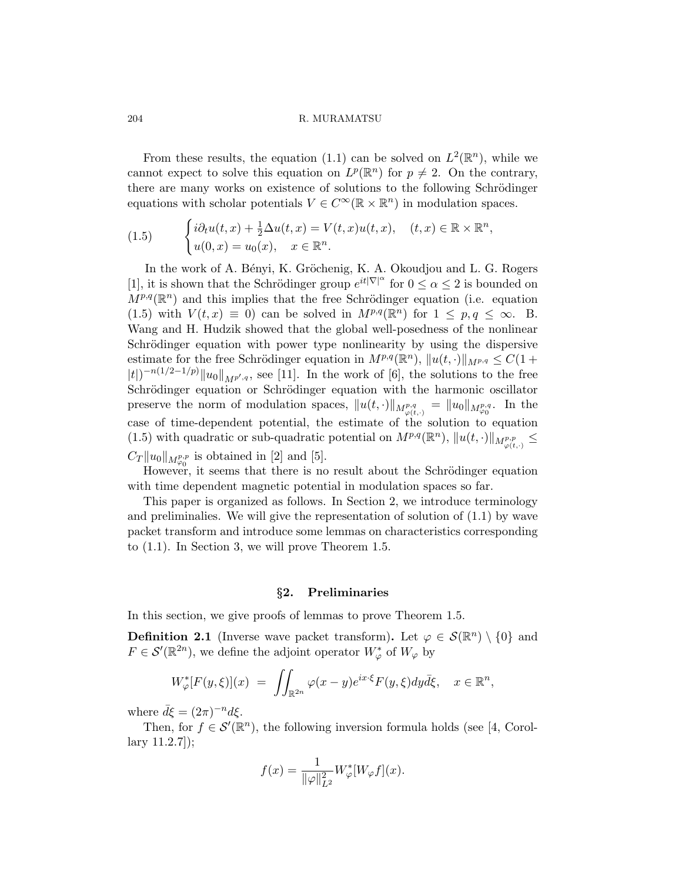204 R. MURAMATSU

From these results, the equation (1.1) can be solved on  $L^2(\mathbb{R}^n)$ , while we cannot expect to solve this equation on  $L^p(\mathbb{R}^n)$  for  $p \neq 2$ . On the contrary, there are many works on existence of solutions to the following Schrödinger equations with scholar potentials  $V \in C^{\infty}(\mathbb{R} \times \mathbb{R}^{n})$  in modulation spaces.

(1.5) 
$$
\begin{cases} i\partial_t u(t,x) + \frac{1}{2}\Delta u(t,x) = V(t,x)u(t,x), & (t,x) \in \mathbb{R} \times \mathbb{R}^n, \\ u(0,x) = u_0(x), & x \in \mathbb{R}^n. \end{cases}
$$

In the work of A. Bényi, K. Gröchenig, K. A. Okoudjou and L. G. Rogers [1], it is shown that the Schrödinger group  $e^{it|\nabla|^{\alpha}}$  for  $0 \leq \alpha \leq 2$  is bounded on  $M^{p,q}(\mathbb{R}^n)$  and this implies that the free Schrödinger equation (i.e. equation (1.5) with  $V(t, x) \equiv 0$ ) can be solved in  $M^{p,q}(\mathbb{R}^n)$  for  $1 \leq p, q \leq \infty$ . B. Wang and H. Hudzik showed that the global well-posedness of the nonlinear Schrödinger equation with power type nonlinearity by using the dispersive estimate for the free Schrödinger equation in  $M^{p,q}(\mathbb{R}^n)$ ,  $||u(t, \cdot)||_{M^{p,q}} \leq C(1+\epsilon)$ *|t*| $)$ <sup>*−n*(1/2−1/*p*)*|u*<sub>0</sub>*|*</sup>*M*<sup>*p*′</sup>,*q*, see [11]. In the work of [6], the solutions to the free Schrödinger equation or Schrödinger equation with the harmonic oscillator preserve the norm of modulation spaces,  $||u(t, \cdot)||_{M^{p,q}_{\varphi(t, \cdot)}} = ||u_0||_{M^{p,q}_{\varphi(0)}}$ . In the case of time-dependent potential, the estimate of the solution to equation (1.5) with quadratic or sub-quadratic potential on  $M^{p,q}(\mathbb{R}^n)$ ,  $||u(t, \cdot)||_{M^{p,p}_{\varphi(t, \cdot)}} \le$  $C_T ||u_0||_{M^{p,p}_{\varphi_0}}$  is obtained in [2] and [5].

However, it seems that there is no result about the Schrödinger equation with time dependent magnetic potential in modulation spaces so far.

This paper is organized as follows. In Section 2, we introduce terminology and preliminalies. We will give the representation of solution of (1.1) by wave packet transform and introduce some lemmas on characteristics corresponding to (1.1). In Section 3, we will prove Theorem 1.5.

#### *§***2. Preliminaries**

In this section, we give proofs of lemmas to prove Theorem 1.5.

**Definition 2.1** (Inverse wave packet transform). Let  $\varphi \in \mathcal{S}(\mathbb{R}^n) \setminus \{0\}$  and  $F \in \mathcal{S}'(\mathbb{R}^{2n})$ , we define the adjoint operator  $W^*_{\varphi}$  of  $W_{\varphi}$  by

$$
W_{\varphi}^*[F(y,\xi)](x) \ = \ \iint_{\mathbb{R}^{2n}} \varphi(x-y)e^{ix\cdot\xi}F(y,\xi)dy\bar{d}\xi, \quad x \in \mathbb{R}^n,
$$

where  $\bar{d}\xi = (2\pi)^{-n}d\xi$ .

Then, for  $f \in \mathcal{S}'(\mathbb{R}^n)$ , the following inversion formula holds (see [4, Corollary 11.2.7]);

$$
f(x) = \frac{1}{\|\varphi\|_{L^2}^2} W^*_{\varphi}[W_{\varphi}f](x).
$$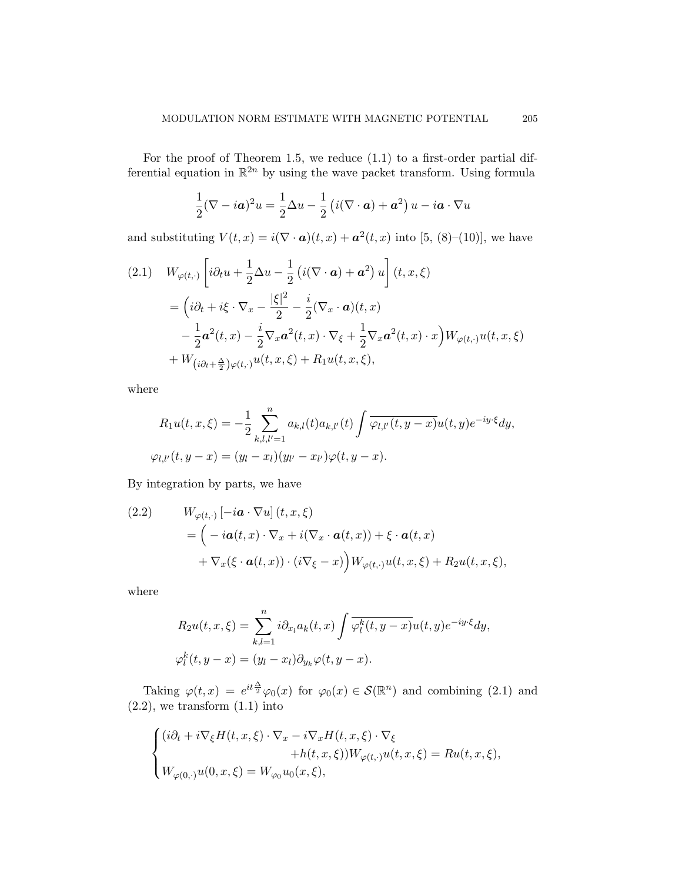For the proof of Theorem 1.5, we reduce (1.1) to a first-order partial differential equation in R <sup>2</sup>*<sup>n</sup>* by using the wave packet transform. Using formula

$$
\frac{1}{2}(\nabla - i\boldsymbol{a})^2 u = \frac{1}{2}\Delta u - \frac{1}{2}\left(i(\nabla \cdot \boldsymbol{a}) + \boldsymbol{a}^2\right)u - i\boldsymbol{a} \cdot \nabla u
$$

and substituting  $V(t, x) = i(\nabla \cdot \mathbf{a})(t, x) + \mathbf{a}^2(t, x)$  into [5, (8)–(10)], we have

$$
(2.1) \quad W_{\varphi(t,\cdot)} \left[ i\partial_t u + \frac{1}{2} \Delta u - \frac{1}{2} \left( i(\nabla \cdot \mathbf{a}) + \mathbf{a}^2 \right) u \right] (t, x, \xi)
$$
\n
$$
= \left( i\partial_t + i\xi \cdot \nabla_x - \frac{|\xi|^2}{2} - \frac{i}{2} (\nabla_x \cdot \mathbf{a}) (t, x) - \frac{1}{2} \mathbf{a}^2 (t, x) - \frac{i}{2} \nabla_x \mathbf{a}^2 (t, x) \cdot \nabla_\xi + \frac{1}{2} \nabla_x \mathbf{a}^2 (t, x) \cdot x \right) W_{\varphi(t, \cdot)} u(t, x, \xi)
$$
\n
$$
+ W_{(i\partial_t + \frac{\Delta}{2})\varphi(t, \cdot)} u(t, x, \xi) + R_1 u(t, x, \xi),
$$

where

$$
R_1 u(t, x, \xi) = -\frac{1}{2} \sum_{k,l,l'=1}^n a_{k,l}(t) a_{k,l'}(t) \int \overline{\varphi_{l,l'}(t, y - x)} u(t, y) e^{-iy \cdot \xi} dy,
$$
  

$$
\varphi_{l,l'}(t, y - x) = (y_l - x_l)(y_{l'} - x_{l'}) \varphi(t, y - x).
$$

By integration by parts, we have

(2.2) 
$$
W_{\varphi(t,\cdot)}[-i\mathbf{a}\cdot\nabla u](t,x,\xi)
$$

$$
= \left(-i\mathbf{a}(t,x)\cdot\nabla_x + i(\nabla_x\cdot\mathbf{a}(t,x)) + \xi\cdot\mathbf{a}(t,x)\right)
$$

$$
+ \nabla_x(\xi\cdot\mathbf{a}(t,x))\cdot(i\nabla_\xi - x)\Big)W_{\varphi(t,\cdot)}u(t,x,\xi) + R_2u(t,x,\xi),
$$

where

$$
R_2u(t, x, \xi) = \sum_{k,l=1}^n i \partial_{x_l} a_k(t, x) \int \overline{\varphi_l^k(t, y - x)} u(t, y) e^{-iy \cdot \xi} dy,
$$
  

$$
\varphi_l^k(t, y - x) = (y_l - x_l) \partial_{y_k} \varphi(t, y - x).
$$

Taking  $\varphi(t,x) = e^{it\frac{\Delta}{2}}\varphi_0(x)$  for  $\varphi_0(x) \in \mathcal{S}(\mathbb{R}^n)$  and combining (2.1) and  $(2.2)$ , we transform  $(1.1)$  into

$$
\label{eq:2} \begin{cases} (i\partial_t+i\nabla_\xi H(t,x,\xi)\cdot\nabla_x-i\nabla_x H(t,x,\xi)\cdot\nabla_\xi\\ \hspace{5em}+h(t,x,\xi))W_{\varphi(t,\cdot)}u(t,x,\xi)=Ru(t,x,\xi),\\ W_{\varphi(0,\cdot)}u(0,x,\xi)=W_{\varphi_0}u_0(x,\xi), \end{cases}
$$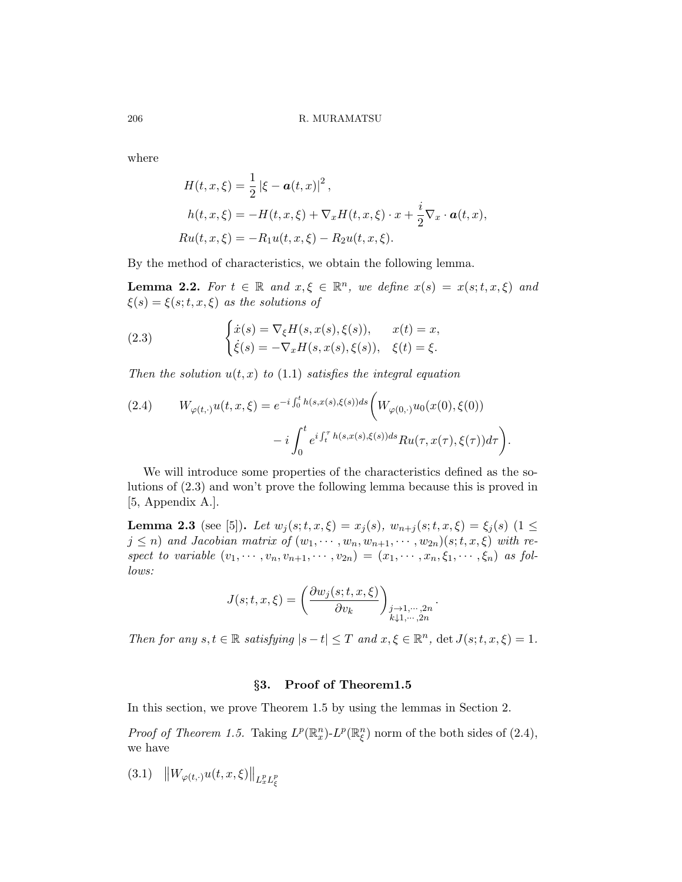where

$$
H(t, x, \xi) = \frac{1}{2} |\xi - \boldsymbol{a}(t, x)|^2,
$$
  
\n
$$
h(t, x, \xi) = -H(t, x, \xi) + \nabla_x H(t, x, \xi) \cdot x + \frac{i}{2} \nabla_x \cdot \boldsymbol{a}(t, x),
$$
  
\n
$$
Ru(t, x, \xi) = -R_1 u(t, x, \xi) - R_2 u(t, x, \xi).
$$

By the method of characteristics, we obtain the following lemma.

**Lemma 2.2.** For  $t \in \mathbb{R}$  and  $x, \xi \in \mathbb{R}^n$ , we define  $x(s) = x(s; t, x, \xi)$  and  $\xi(s) = \xi(s; t, x, \xi)$  *as the solutions of* 

(2.3) 
$$
\begin{cases} \dot{x}(s) = \nabla_{\xi} H(s, x(s), \xi(s)), & x(t) = x, \\ \dot{\xi}(s) = -\nabla_{x} H(s, x(s), \xi(s)), & \xi(t) = \xi. \end{cases}
$$

*Then the solution*  $u(t, x)$  *to* (1.1) *satisfies the integral equation* 

(2.4) 
$$
W_{\varphi(t,\cdot)}u(t,x,\xi) = e^{-i\int_0^t h(s,x(s),\xi(s))ds} \left(W_{\varphi(0,\cdot)}u_0(x(0),\xi(0)) - i\int_0^t e^{i\int_t^\tau h(s,x(s),\xi(s))ds}Ru(\tau,x(\tau),\xi(\tau))d\tau\right).
$$

We will introduce some properties of the characteristics defined as the solutions of (2.3) and won't prove the following lemma because this is proved in [5, Appendix A.].

**Lemma 2.3** (see [5]). *Let*  $w_j(s; t, x, \xi) = x_j(s), w_{n+j}(s; t, x, \xi) = \xi_j(s)$  (1  $\leq$  $j \leq n$ ) and Jacobian matrix of  $(w_1, \dots, w_n, w_{n+1}, \dots, w_{2n}) (s; t, x, \xi)$  with respect to variable  $(v_1, \dots, v_n, v_{n+1}, \dots, v_{2n}) = (x_1, \dots, x_n, \xi_1, \dots, \xi_n)$  as fol*lows:*

$$
J(s;t,x,\xi)=\left(\frac{\partial w_j(s;t,x,\xi)}{\partial v_k}\right)_{\substack{j\rightarrow 1,\cdots,2n \\ k\downarrow 1,\cdots,2n}}
$$

*.*

*Then for any*  $s, t \in \mathbb{R}$  *satisfying*  $|s - t| \leq T$  *and*  $x, \xi \in \mathbb{R}^n$ ,  $\det J(s; t, x, \xi) = 1$ .

## *§***3. Proof of Theorem1.5**

In this section, we prove Theorem 1.5 by using the lemmas in Section 2.

*Proof of Theorem 1.5.* Taking  $L^p(\mathbb{R}^n_x)$ - $L^p(\mathbb{R}^n_\xi)$  norm of the both sides of (2.4), we have

(3.1)  $\|W_{\varphi(t,\cdot)}u(t,x,\xi)\|_{L_x^p L_\xi^p}$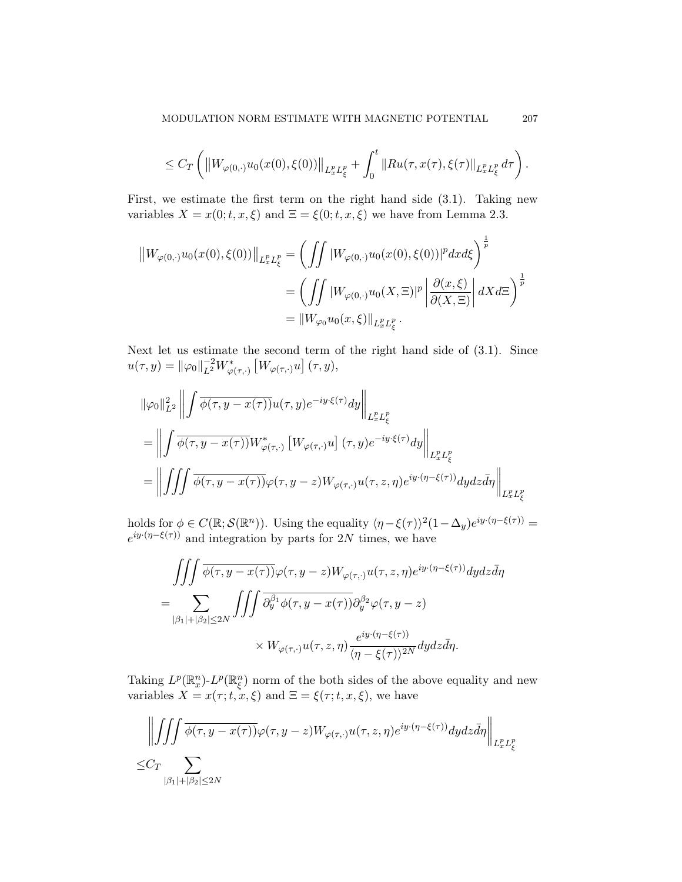$$
\leq C_T \left( \left\| W_{\varphi(0,\cdot)} u_0(x(0), \xi(0)) \right\|_{L^p_x L^p_\xi} + \int_0^t \left\| R u(\tau, x(\tau), \xi(\tau) \right\|_{L^p_x L^p_\xi} d\tau \right).
$$

First, we estimate the first term on the right hand side (3.1). Taking new variables  $X = x(0; t, x, \xi)$  and  $\Xi = \xi(0; t, x, \xi)$  we have from Lemma 2.3.

$$
\|W_{\varphi(0,\cdot)}u_0(x(0),\xi(0))\|_{L^p_xL^p_\xi} = \left(\int\int |W_{\varphi(0,\cdot)}u_0(x(0),\xi(0))|^p dx d\xi\right)^{\frac{1}{p}} \n= \left(\int\int |W_{\varphi(0,\cdot)}u_0(X,\Xi)|^p \left|\frac{\partial(x,\xi)}{\partial(X,\Xi)}\right| dX d\Xi\right)^{\frac{1}{p}} \n= \|W_{\varphi_0}u_0(x,\xi)\|_{L^p_xL^p_\xi}.
$$

Next let us estimate the second term of the right hand side of (3.1). Since  $u(\tau, y) = ||\varphi_0||_{L^2}^{-2} W_{\varphi(\tau, \cdot)}^*$  $\left[W_{\varphi\left(\tau,\cdot\right)}u\right](\tau,y),$ 

$$
\begin{split} &\|\varphi_0\|_{L^2}^2\left\|\int\overline{\phi(\tau,y-x(\tau))}u(\tau,y)e^{-iy\cdot\xi(\tau)}dy\right\|_{L^p_xL^p_\xi}\\ &=\left\|\int\overline{\phi(\tau,y-x(\tau))}W_{\varphi(\tau,\cdot)}^*\left[W_{\varphi(\tau,\cdot)}u\right](\tau,y)e^{-iy\cdot\xi(\tau)}dy\right\|_{L^p_xL^p_\xi}\\ &=\left\|\int\!\!\int\!\!\int\overline{\phi(\tau,y-x(\tau))}\varphi(\tau,y-z)W_{\varphi(\tau,\cdot)}u(\tau,z,\eta)e^{iy\cdot(\eta-\xi(\tau))}dydz\bar{d}\eta\right\|_{L^p_xL^p_\xi} \end{split}
$$

holds for  $\phi \in C(\mathbb{R}; \mathcal{S}(\mathbb{R}^n))$ . Using the equality  $\langle \eta - \xi(\tau) \rangle^2 (1 - \Delta_y) e^{iy \cdot (\eta - \xi(\tau))} =$  $e^{iy \cdot (\eta - \xi(\tau))}$  and integration by parts for 2*N* times, we have

$$
\iiint \overline{\phi(\tau, y - x(\tau))} \varphi(\tau, y - z) W_{\varphi(\tau, \cdot)} u(\tau, z, \eta) e^{iy \cdot (\eta - \xi(\tau))} dy dz d\eta
$$
  
= 
$$
\sum_{|\beta_1| + |\beta_2| \le 2N} \iiint \overline{\partial_y^{\beta_1} \phi(\tau, y - x(\tau))} \partial_y^{\beta_2} \varphi(\tau, y - z)
$$
  

$$
\times W_{\varphi(\tau, \cdot)} u(\tau, z, \eta) \frac{e^{iy \cdot (\eta - \xi(\tau))}}{(\eta - \xi(\tau))^{2N}} dy dz d\eta.
$$

Taking  $L^p(\mathbb{R}^n_x)$ - $L^p(\mathbb{R}^n_\xi)$  norm of the both sides of the above equality and new variables  $\overline{X} = x(\tau; t, x, \xi)$  and  $\Xi = \xi(\tau; t, x, \xi)$ , we have

$$
\left\| \iiint \overline{\phi(\tau, y - x(\tau))} \varphi(\tau, y - z) W_{\varphi(\tau, \cdot)} u(\tau, z, \eta) e^{iy \cdot (\eta - \xi(\tau))} dy dz d\eta \right\|_{L_x^p L_\xi^p}
$$
  

$$
\leq C_T \sum_{|\beta_1| + |\beta_2| \leq 2N} \left\| \sum_{\beta_2 | \beta_1 | \leq 2N} \overline{X} \right\|_{L_x^p L_\xi^p} \leq C_T \sum_{|\beta_2 | \beta_2 | \leq 2N} \left\| \sum_{\beta_2 | \beta_1 | \beta_2 | \leq 2N} \overline{X} \right\|_{L_x^p L_\xi^p} \leq C_T \sum_{|\beta_2 | \beta_2 | \leq 2N} \left\| \sum_{\beta_2 | \beta_2 | \beta_2 | \leq 2N} \overline{X} \right\|_{L_x^p L_x^p} \leq C_T \sum_{|\beta_2 | \beta_2 | \leq 2N} \left\| \sum_{\beta_2 | \beta_2 | \beta_2 | \leq 2N} \overline{X} \right\|_{L_x^p L_x^p} \leq C_T \sum_{|\beta_2 | \beta_2 | \leq 2N} \left\| \sum_{\beta_2 | \beta_2 | \beta_2 | \leq 2N} \overline{X} \right\|_{L_x^p L_x^p}
$$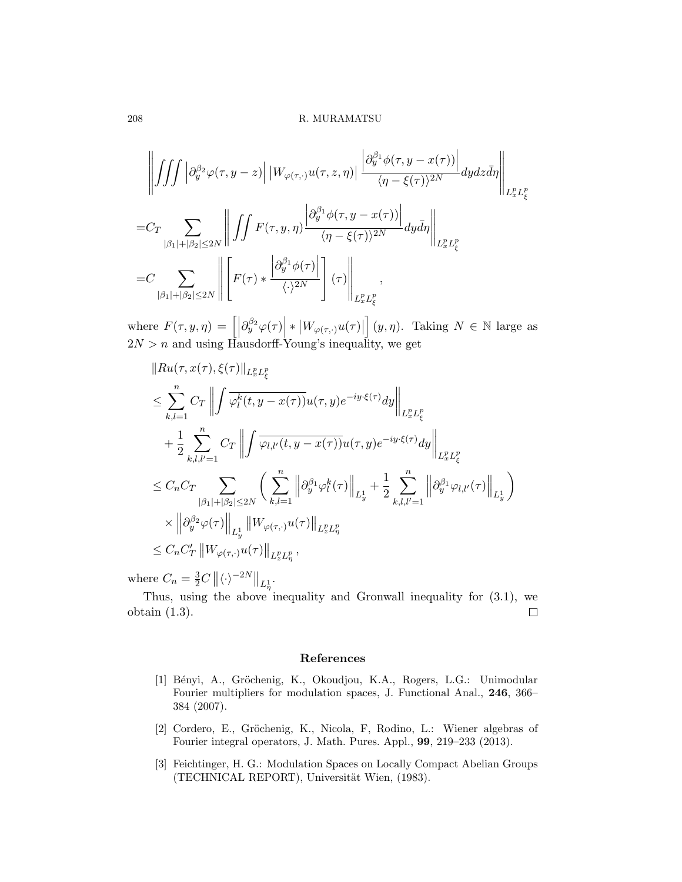$$
\left\| \iiint_{\mathcal{G}} \left| \partial_y^{\beta_2} \varphi(\tau, y - z) \right| \left| W_{\varphi(\tau, \cdot)} u(\tau, z, \eta) \right| \frac{\left| \partial_y^{\beta_1} \phi(\tau, y - x(\tau)) \right|}{\langle \eta - \xi(\tau) \rangle^{2N}} dy dz \bar{d} \eta \right\|_{L_x^p L_\xi^p}
$$
  
= 
$$
C_T \sum_{|\beta_1| + |\beta_2| \le 2N} \left\| \iint_{\mathcal{G}} F(\tau, y, \eta) \frac{\left| \partial_y^{\beta_1} \phi(\tau, y - x(\tau)) \right|}{\langle \eta - \xi(\tau) \rangle^{2N}} dy d\eta \right\|_{L_x^p L_\xi^p}
$$
  
= 
$$
C \sum_{|\beta_1| + |\beta_2| \le 2N} \left\| \left[ F(\tau) * \frac{\left| \partial_y^{\beta_1} \phi(\tau) \right|}{\langle \cdot \rangle^{2N}} \right] (\tau) \right\|_{L_x^p L_\xi^p} ,
$$

where  $F(\tau, y, \eta) = \left[ \left| \partial_y^{\beta_2} \varphi(\tau) \right| * \left| W_{\varphi(\tau, \cdot)} u(\tau) \right| \right]$  $(y, \eta)$ . Taking  $N \in \mathbb{N}$  large as  $2N > n$  and using Hausdorff-Young's inequality, we get

$$
\|Ru(\tau, x(\tau), \xi(\tau)\|_{L_x^p L_\xi^p}
$$
\n
$$
\leq \sum_{k,l=1}^n C_T \left\| \int \overline{\varphi_l^k(t, y - x(\tau))} u(\tau, y) e^{-iy \cdot \xi(\tau)} dy \right\|_{L_x^p L_\xi^p}
$$
\n
$$
+ \frac{1}{2} \sum_{k,l,l'=1}^n C_T \left\| \int \overline{\varphi_{l,l'}(t, y - x(\tau))} u(\tau, y) e^{-iy \cdot \xi(\tau)} dy \right\|_{L_x^p L_\xi^p}
$$
\n
$$
\leq C_n C_T \sum_{|\beta_1| + |\beta_2| \leq 2N} \left( \sum_{k,l=1}^n \left\| \partial_y^{\beta_1} \varphi_l^k(\tau) \right\|_{L_y^1} + \frac{1}{2} \sum_{k,l,l'=1}^n \left\| \partial_y^{\beta_1} \varphi_{l,l'}(\tau) \right\|_{L_y^1} \right)
$$
\n
$$
\times \left\| \partial_y^{\beta_2} \varphi(\tau) \right\|_{L_y^1} \left\| W_{\varphi(\tau, \cdot)} u(\tau) \right\|_{L_z^p L_\eta^p},
$$
\n
$$
\leq C_n C_T' \left\| W_{\varphi(\tau, \cdot)} u(\tau) \right\|_{L_z^p L_\eta^p},
$$

where  $C_n = \frac{3}{2}C \, ||\langle \cdot \rangle^{-2N}||_{L^1_n}$ .

Thus, using the above inequality and Gronwall inequality for (3.1), we obtain (1.3).  $\Box$ 

### **References**

- [1] Bényi, A., Gröchenig, K., Okoudjou, K.A., Rogers, L.G.: Unimodular Fourier multipliers for modulation spaces, J. Functional Anal., **246**, 366– 384 (2007).
- [2] Cordero, E., Gröchenig, K., Nicola, F, Rodino, L.: Wiener algebras of Fourier integral operators, J. Math. Pures. Appl., **99**, 219–233 (2013).
- [3] Feichtinger, H. G.: Modulation Spaces on Locally Compact Abelian Groups (TECHNICAL REPORT), Universität Wien, (1983).